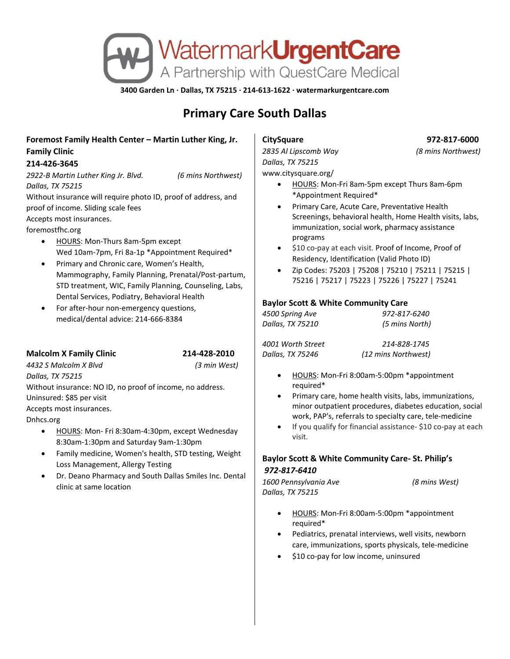

**3400 Garden Ln · Dallas, TX 75215 · 214-613-1622 · watermarkurgentcare.com**

# **Primary Care South Dallas**

## **Foremost Family Health Center – Martin Luther King, Jr. Family Clinic**

### **214-426-3645**

*2922-B Martin Luther King Jr. Blvd. (6 mins Northwest) Dallas, TX 75215*

Without insurance will require photo ID, proof of address, and proof of income. Sliding scale fees

Accepts most insurances.

foremostfhc.org

- HOURS: Mon-Thurs 8am-5pm except Wed 10am-7pm, Fri 8a-1p \*Appointment Required\*
- Primary and Chronic care, Women's Health, Mammography, Family Planning, Prenatal/Post-partum, STD treatment, WIC, Family Planning, Counseling, Labs, Dental Services, Podiatry, Behavioral Health
- For after-hour non-emergency questions, medical/dental advice: 214-666-8384

## **Malcolm X Family Clinic 214-428-2010**

*4432 S Malcolm X Blvd (3 min West) Dallas, TX 75215*

Without insurance: NO ID, no proof of income, no address. Uninsured: \$85 per visit

Accepts most insurances.

Dnhcs.org

- HOURS: Mon- Fri 8:30am-4:30pm, except Wednesday 8:30am-1:30pm and Saturday 9am-1:30pm
- Family medicine, Women's health, STD testing, Weight Loss Management, Allergy Testing
- Dr. Deano Pharmacy and South Dallas Smiles Inc. Dental clinic at same location

*2835 Al Lipscomb Way (8 mins Northwest) Dallas, TX 75215* www.citysquare.org/

- - HOURS: Mon-Fri 8am-5pm except Thurs 8am-6pm \*Appointment Required\*
	- Primary Care, Acute Care, Preventative Health Screenings, behavioral health, Home Health visits, labs, immunization, social work, pharmacy assistance programs
	- \$10 co-pay at each visit. Proof of Income, Proof of Residency, Identification (Valid Photo ID)
- Zip Codes: 75203 | 75208 | 75210 | 75211 | 75215 | 75216 | 75217 | 75223 | 75226 | 75227 | 75241

## **Baylor Scott & White Community Care**

| 4500 Spring Ave  | 972-817-6240   |
|------------------|----------------|
| Dallas, TX 75210 | (5 mins North) |

*4001 Worth Street 214-828-1745* 

*Dallas, TX 75246 (12 mins Northwest)*

- HOURS: Mon-Fri 8:00am-5:00pm \*appointment required\*
- Primary care, home health visits, labs, immunizations, minor outpatient procedures, diabetes education, social work, PAP's, referrals to specialty care, tele-medicine
- If you qualify for financial assistance- \$10 co-pay at each visit.

## **Baylor Scott & White Community Care- St. Philip's** *972-817-6410*

| 1600 Pennsylvania Ave | (8 mins West) |
|-----------------------|---------------|
| Dallas, TX 75215      |               |

- HOURS: Mon-Fri 8:00am-5:00pm \*appointment required\*
- Pediatrics, prenatal interviews, well visits, newborn care, immunizations, sports physicals, tele-medicine
- \$10 co-pay for low income, uninsured

# **CitySquare 972-817-6000**